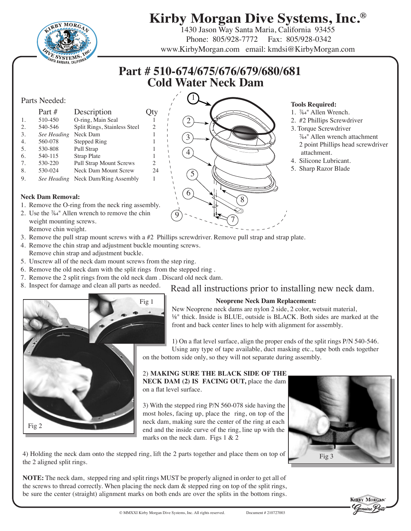

# **Kirby Morgan Dive Systems, Inc.®**

 $1430$  Jason Way Santa Maria, California 93455 Phone: 805/928-7772 Fax: 805/928-0342 www.KirbyMorgan.com email: kmdsi@KirbyMorgan.com

## **Part # 510-674/675/676/679/680/681 Cold Water Neck Dam**

#### Parts Needed:

<span id="page-0-8"></span><span id="page-0-4"></span><span id="page-0-3"></span><span id="page-0-2"></span><span id="page-0-1"></span><span id="page-0-0"></span>

|                  | Part #      | Description                    |    |
|------------------|-------------|--------------------------------|----|
| $\mathbf{1}$ .   | 510-450     | O-ring, Main Seal              |    |
| 2.               | 540-546     | Split Rings, Stainless Steel   | 2  |
| 3.               | See Heading | Neck Dam                       | 1  |
| $\overline{4}$ . | 560-078     | <b>Stepped Ring</b>            |    |
| .5.              | 530-808     | Pull Strap                     |    |
| 6.               | 540-115     | Strap Plate                    |    |
| 7.               | 530-220     | <b>Pull Strap Mount Screws</b> | 2  |
| 8.               | 530-024     | Neck Dam Mount Screw           | 24 |
| 9.               | See Heading | Neck Dam/Ring Assembly         | 1  |

#### <span id="page-0-7"></span><span id="page-0-6"></span><span id="page-0-5"></span>**Neck Dam Removal:**

- 1. Remove the O-ring from the neck ring assembly.
- 2. Use the 7/64" Allen wrench to remove the chin weight mounting screws. Remove chin weight.
- 3. Remove the pull strap mount screws with a #2 Phillips screwdriver. Remove pull strap and strap plate.
- 4. Remove the chin strap and adjustment buckle mounting screws. Remove chin strap and adjustment buckle.
- 5. Unscrew all of the neck dam mount screws from the step ring.
- 6. Remove the old neck dam with the split rings from the stepped ring .
- 7. Remove the 2 split rings from the old neck dam . Discard old neck dam.
- 



#### **Tools Required:**

- 1. 7/64" Allen Wrench.
	- 2. #2 Phillips Screwdriver
	- 3. Torque Screwdriver
		- 7/64" Allen wrench attachment 2 point Phillips head screwdriver attachment.
- 4. Silicone Lubricant.
- 5. Sharp Razor Blade



### 8. Inspect for damage and clean all parts as needed. Read all instructions prior to installing new neck dam.

#### **Neoprene Neck Dam Replacement:**

New Neoprene neck dams are nylon 2 side, 2 color, wetsuit material, 1/8" thick. Inside is BLUE, outside is BLACK. Both sides are marked at the front and back center lines to help with alignment for assembly.

1) On a flat level surface, align the proper ends of the split rings P/N 540-546. Using any type of tape available, duct masking etc., tape both ends together on the bottom side only, so they will not separate during assembly.

2) **MAKING SURE THE BLACK SIDE OF THE NECK DAM (2) IS FACING OUT,** place the dam on a flat level surface.

3) With the stepped ring P/N 560-078 side having the most holes, facing up, place the ring, on top of the neck dam, making sure the center of the ring at each end and the inside curve of the ring, line up with the marks on the neck dam. Figs 1 & 2



4) Holding the neck dam onto the stepped ring, lift the 2 parts together and place them on top of the 2 aligned split rings.

**NOTE:** The neck dam, stepped ring and split rings MUST be properly aligned in order to get all of the screws to thread correctly. When placing the neck dam & stepped ring on top of the split rings, be sure the center (straight) alignment marks on both ends are over the splits in the bottom rings.

**KERBY MORGA**